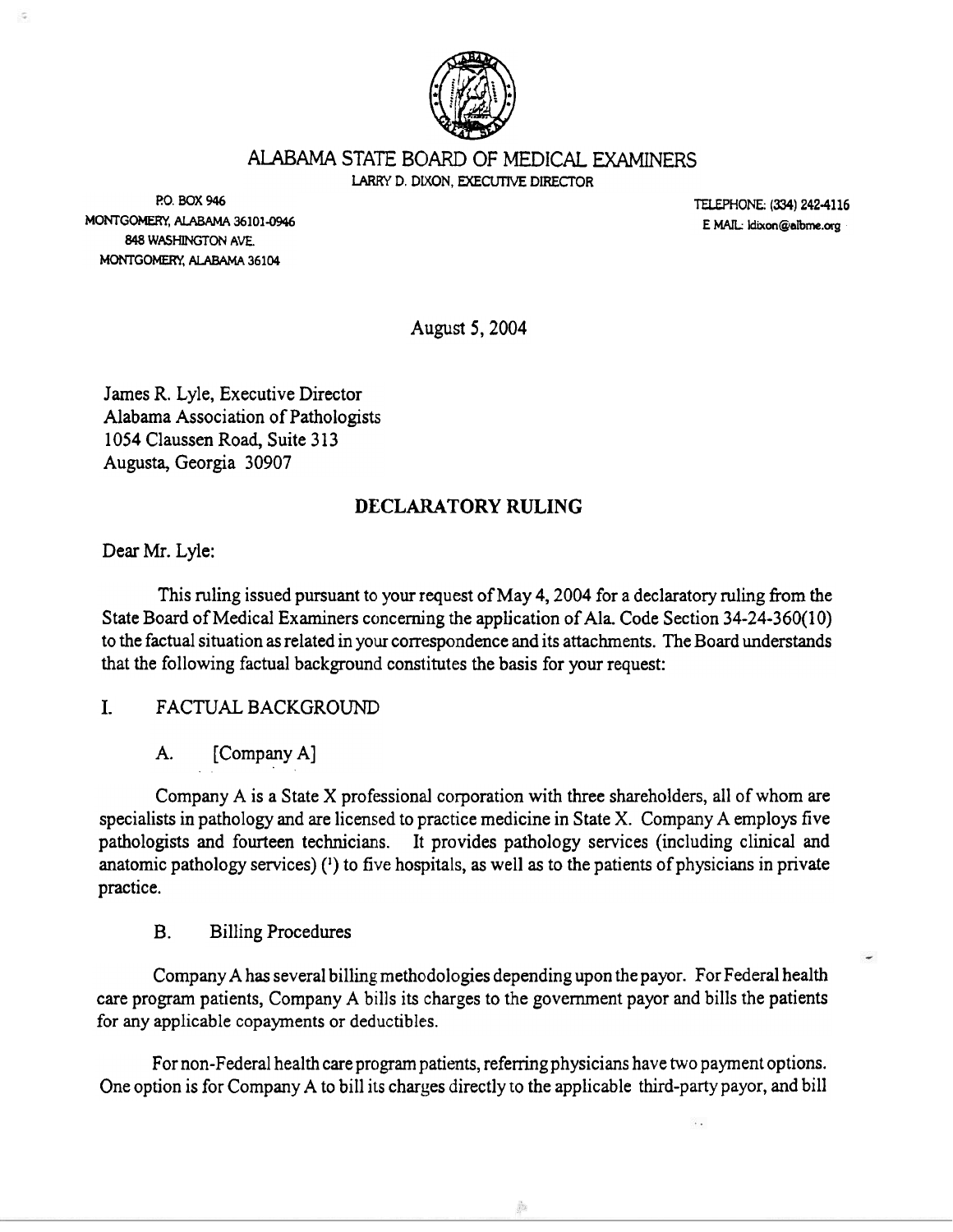

LARRY D. DIXON, EXECUTIVE DIRECTOR

P:O. BOX 946 MONTGOMERY, ALABAMA 36101-0946 848 WASHINGTON AVE. MONTGOMERY, ALABAMA 36104

TELEPHONE: (334) 242-4116 E MAIL: idixon@albme.org

August 5, 2004

James R. Lyle, Executive Director Alabama Association of Pathologists 1054 Claussen Road, Suite 313 Augusta, Georgia 30907

### DECLARATORY RULING

Dear Mr. Lyle:

This ruling issued pursuant to your request of May 4, 2004 for a declaratory ruling from the State Board of Medical Examiners concerning the application of Ala. Code Section 34-24-360(10) to the factual situation as related in your correspondence and its attachments. The Board understands that the following factual background constitutes the basis for your request:

I. FACTUAL BACKGROUND

A. [Company A]

Company A is a State X professional corporation with three shareholders, all of whom are specialists in pathology and are licensed to practice medicine in State X. Company A employs five pathologists and fourteen technicians. It provides pathology services (including clinical and anatomic pathology services)  $(1)$  to five hospitals, as well as to the patients of physicians in private practice.

B. Billing Procedures

Company A has several billing methodologies depending upon the payor. For Federal health care program patients, Company A bills its charges to the government payor and bills the patients for any applicable copayments or deductibles.

For non-Federal health care program patients, referring physicians have two payment options. One option is for Company A to bill its charges directly to the applicable third-party payor, and bill

å.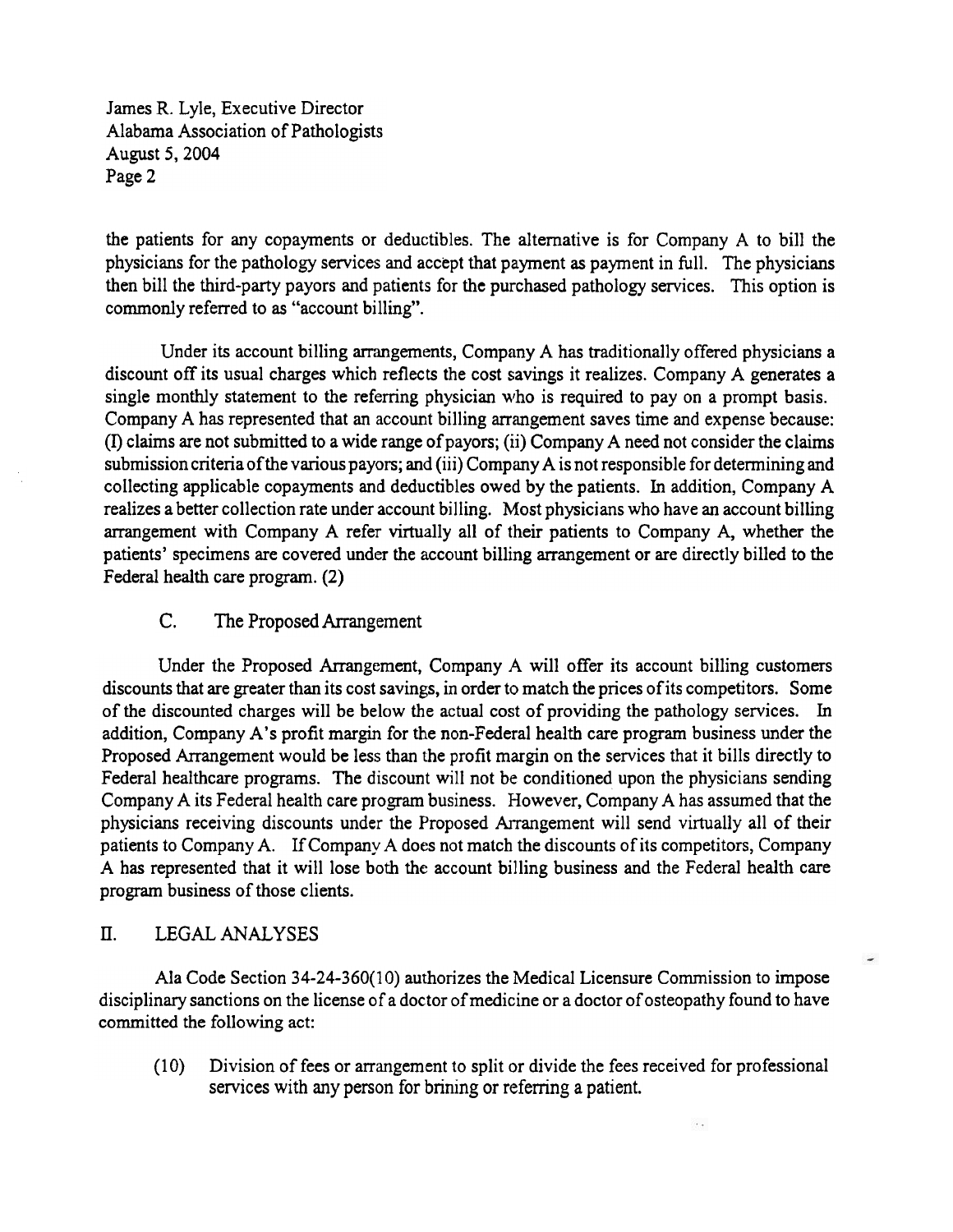James R. Lyle, Executive Director Alabama Association of Pathologists August 5, 2004 Page 2

the patients for any copayments or deductibles. The alternative is for Company A to bill the physicians for the pathology services and accept that payment as payment in full. The physicians then bill the third-party payors and patients for the purchased pathology services. This option is commonly referred to as "account billing".

Under its account billing arrangements, Company A has traditionally offered physicians a discount off its usual charges which reflects the cost savings it realizes. Company A generates a single monthly statement to the referring physician who is required to pay on a prompt basis. Company A has represented that an account billing arrangement saves time and expense because: (I) claims are not submitted to a wide range of payors; (ii) Company A need not consider the claims submission criteria of the various payors; and (iii) Company A is not responsible for determining and collecting applicable copayments and deductibles owed by the patients. In addition, Company A realizes a better collection rate under account billing. Most physicians who have an account billing arrangement with Company A refer virtually all of their patients to Company A, whether the patients' specimens are covered under the account billing arrangement or are directly billed to the Federal health care program. (2)

# c. The Proposed Arrangement

Under the Proposed Arrangement, Company A will offer its account billing customers discounts that are greater than its cost savings, in order to match the prices of its competitors. Some of the discounted charges will be below the actual cost of providing the pathology services. In addition, Company A's profit margin for the non-Federal health care program business under the Proposed Arrangement would be less than the profit margin on the services that it bills directly to Federal healthcare programs. The discount will not be conditioned upon the physicians sending Company A its Federal health care program business. However, Company A has assumed that the physicians receiving discounts under the Proposed Arrangement will send virtually all of their patients to Company A. If Company A does not match the discounts of its competitors, Company A has represented that it will lose both the account billing business and the Federal health care program business of those clients.

#### D. LEGAL ANALYSES

Ala Code Section 34-24-360(10) authorizes the Medical Licensure Commission to impose disciplinary sanctions on the license of a doctor of medicine or a doctor of osteopathy found to have committed the following act:

(10) Division of fees or arrangement to split or divide the fees received for professional services with any person for brining or referring a patient.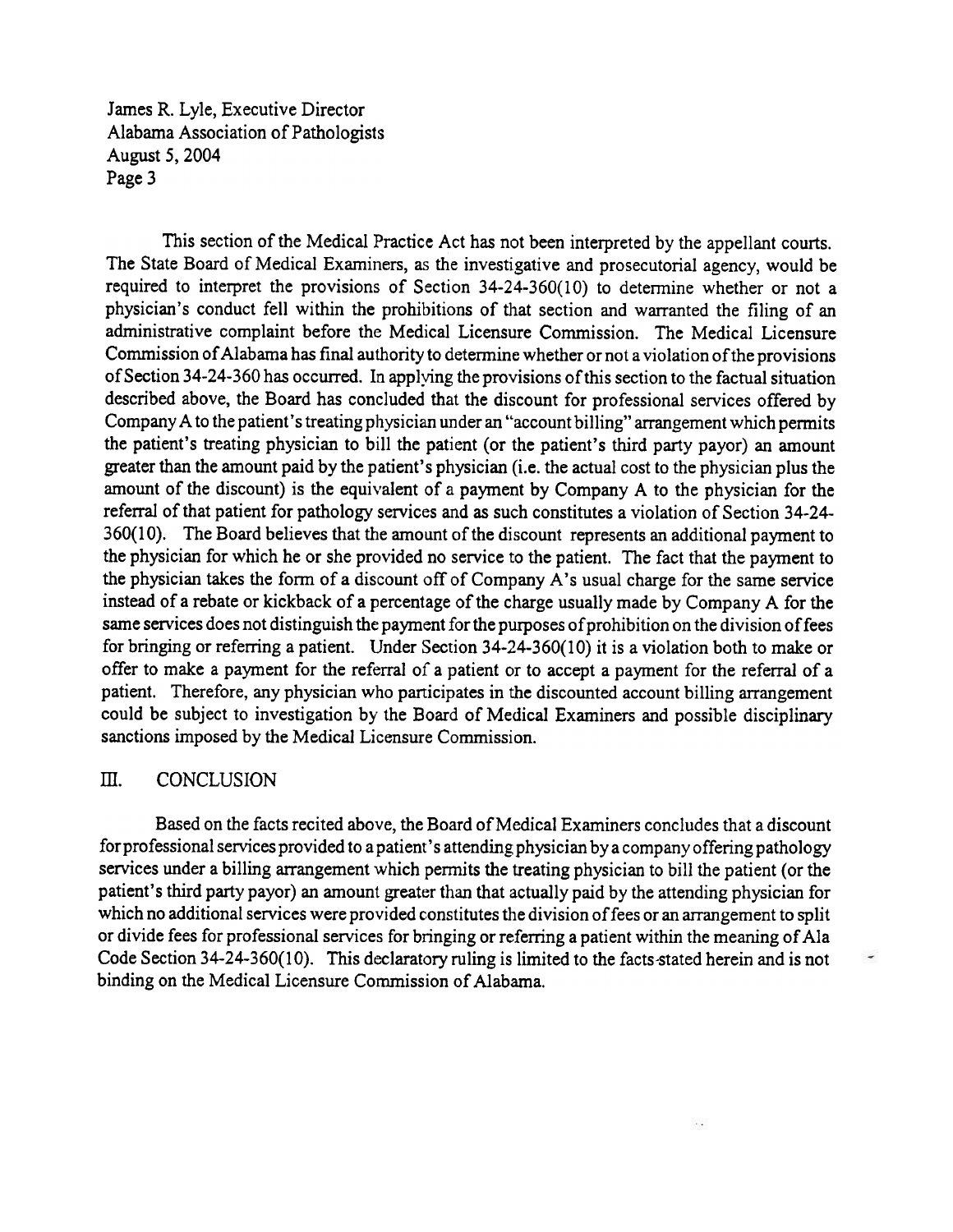James R. Lyle, Executive Director Alabama Association of Pathologists August 5, 2004 Page 3

This section of the Medical Practice Act has not been interpreted by the appellant courts. The State Board of Medical Examiners, as the investigative and prosecutorial agency, would be required to interpret the provisions of Section 34-24-360(10) to determine whether or not a physician's conduct fell within the prohibitions of that section and warranted the filing of an administrative complaint before the Medical Licensure Commission. The Medical Licensure Commission of Alabama has final authority to determine whether or not a violation of the provisions of Section 34-24-360 has occurred. In applying the provisions of this section to the factual situation described above, the Board has concluded that the discount for professional services offered by Company A to the patient's treating physician under an "account billing" arrangement which permits the patient's treating physician to bill the patient (or the patient's third party payor) an amount greater than the amount paid by the patient's physician (i.e. the actual cost to the physician plus the amount of the discount) is the equivalent of a payment by Company A to the physician for the referral of that patient for pathology services and as such constitutes a violation of Section 34-24-360(10). The Board believes that the amount of the discount represents an additional payment to the physician for which he or she provided no service to the patient. The fact that the payment to the physician takes the form of a discount off of Company A's usual charge for the same service instead of a rebate or kickback of a percentage of the charge usually made by Company A for the same services does not distinguish the payment for the purposes of prohibition on the division of fees for bringing or referring a patient. Under Section 34-24-360(10) it is a violation both to make or offer to make a payment for the referral of a patient or to accept a payment for the referral of a patient. Therefore, any physician who participates in the discounted account billing arrangement could be subject to investigation by the Board of Medical Examiners and possible disciplinary sanctions imposed by the Medical Licensure Commission.

### m. CONCLUSION

Based on the facts recited above, the Board of Medical Examiners concludes that a discount for professional services provided to a patient's attending physician by a company offering pathology services under a billing arrangement which permits the treating physician to bill the patient (or the patient's third party payor) an amount greater than that actually paid by the attending physician for which no additional services were provided constitutes the division of fees or an arrangement to split or divide fees for professional services for bringing or referring a patient within the meaning of Ala Code Section 34-24-360(10). This declaratory ruling is limited to the facts-stated herein and is not binding on the Medical Licensure Commission of Alabama.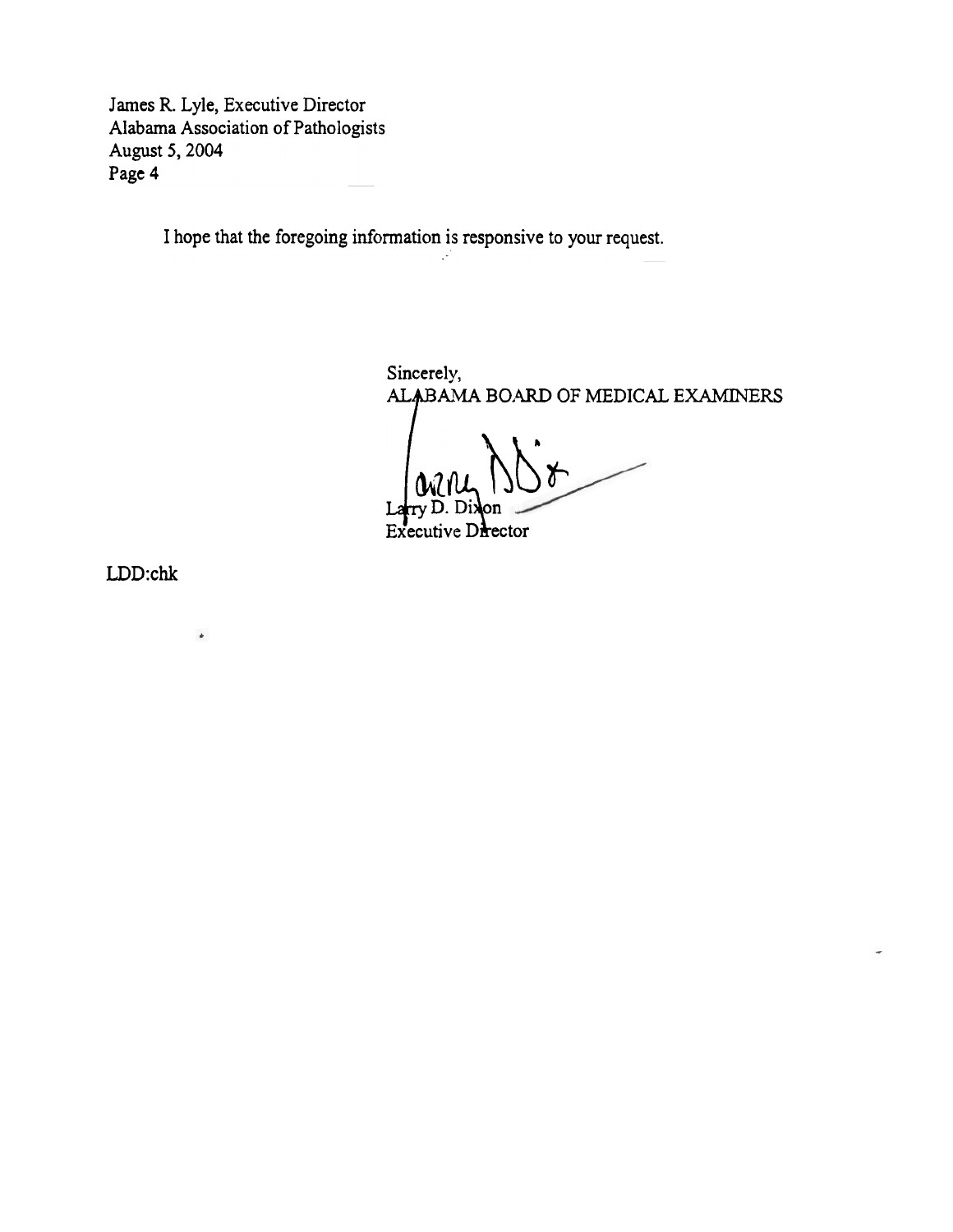James R. Lyle, Executive Director Alabama Association of Pathologists August S, 2004 Page 4

I hope that the foregoing information is responsive to your request.

i, s

Sincerely,<br>ALABAMA BOARD OF MEDICAL EXAMINERS

 $\star$ 

Larry D. Dixon<br>Executive Director

LDD:chk

 $\rlap{-}$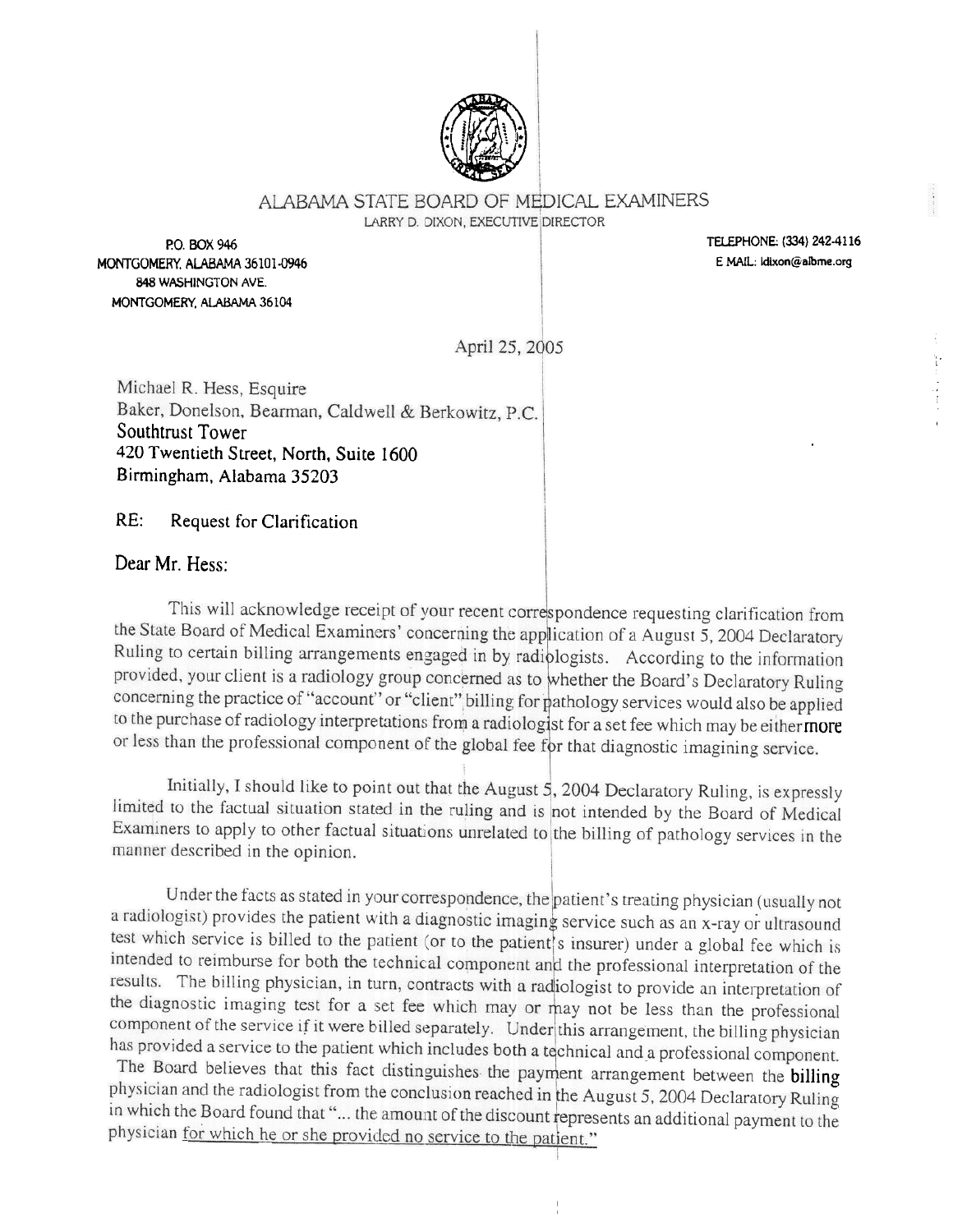

## AI ABAMA STATE BOARD OF MEDICAL EXAMINERS

LARRY D. DIXON, EXECUTIVE DIRECTOR

P.O. BOX 946 MONTGOMERY, ALABAMA 36101-0946 848 WASHINGTON AVE. MONTGOMERY, ALABAMA 36104

TELEPHONE: (334) 242-4116 E MAIL: Idixon@albme.org

April 25, 2005

Michael R. Hess, Esquire Baker, Donelson, Bearman, Caldwell & Berkowitz, P.C. Southtrust Tower 420 Twentieth Street, North, Suite 1600 Birmingham, Alabama 35203

 $RE:$ Request for Clarification

Dear Mr. Hess:

This will acknowledge receipt of your recent correspondence requesting clarification from the State Board of Medical Examiners' concerning the application of a August 5, 2004 Declaratory Ruling to certain billing arrangements engaged in by radiologists. According to the information provided, your client is a radiology group concerned as to whether the Board's Declaratory Ruling concerning the practice of "account" or "client" billing for pathology services would also be applied to the purchase of radiology interpretations from a radiologist for a set fee which may be either more or less than the professional component of the global fee for that diagnostic imagining service.

Initially, I should like to point out that the August 5, 2004 Declaratory Ruling, is expressly limited to the factual situation stated in the ruling and is not intended by the Board of Medical Examiners to apply to other factual situations unrelated to the billing of pathology services in the manner described in the opinion.

Under the facts as stated in your correspondence, the patient's treating physician (usually not a radiologist) provides the patient with a diagnostic imaging service such as an x-ray or ultrasound test which service is billed to the patient (or to the patient's insurer) under a global fee which is intended to reimburse for both the technical component and the professional interpretation of the results. The billing physician, in turn, contracts with a radiologist to provide an interpretation of the diagnostic imaging test for a set fee which may or may not be less than the professional component of the service if it were billed separately. Under this arrangement, the billing physician has provided a service to the patient which includes both a technical and a professional component.

The Board believes that this fact distinguishes the payment arrangement between the billing physician and the radiologist from the conclusion reached in the August 5, 2004 Declaratory Ruling in which the Board found that "... the amount of the discount represents an additional payment to the physician for which he or she provided no service to the patient."